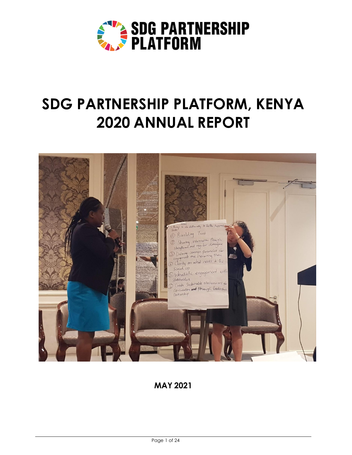

# **SDG PARTNERSHIP PLATFORM, KENYA 2020 ANNUAL REPORT**



# **MAY 2021**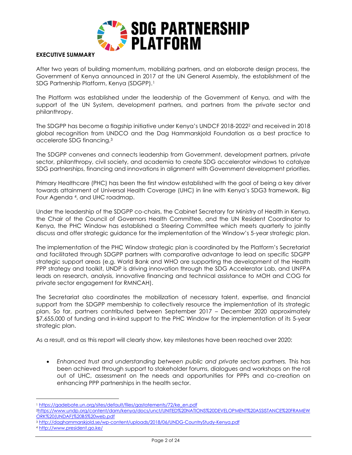

#### **EXECUTIVE SUMMARY**

After two years of building momentum, mobilizing partners, and an elaborate design process, the Government of Kenya announced in 2017 at the UN General Assembly, the establishment of the SDG Partnership Platform, Kenya (SDGPP).<sup>1</sup>

The Platform was established under the leadership of the Government of Kenya, and with the support of the UN System, development partners, and partners from the private sector and philanthropy.

The SDGPP has become a flagship initiative under Kenya's UNDCF 2018-2022<sup>2</sup> and received in 2018 global recognition from UNDCO and the Dag Hammarskjold Foundation as a best practice to accelerate SDG financing.<sup>3</sup>

The SDGPP convenes and connects leadership from Government, development partners, private sector, philanthropy, civil society, and academia to create SDG accelerator windows to catalyze SDG partnerships, financing and innovations in alignment with Government development priorities.

Primary Healthcare (PHC) has been the first window established with the goal of being a key driver towards attainment of Universal Health Coverage (UHC) in line with Kenya's SDG3 framework, Big Four Agenda <sup>4</sup>, and UHC roadmap.

Under the leadership of the SDGPP co-chairs, the Cabinet Secretary for Ministry of Health in Kenya, the Chair of the Council of Governors Health Committee, and the UN Resident Coordinator to Kenya, the PHC Window has established a Steering Committee which meets quarterly to jointly discuss and offer strategic guidance for the implementation of the Window's 5-year strategic plan.

The implementation of the PHC Window strategic plan is coordinated by the Platform's Secretariat and facilitated through SDGPP partners with comparative advantage to lead on specific SDGPP strategic support areas (e.g. World Bank and WHO are supporting the development of the Health PPP strategy and toolkit, UNDP is driving innovation through the SDG Accelerator Lab, and UNFPA leads on research, analysis, innovative financing and technical assistance to MOH and COG for private sector engagement for RMNCAH).

The Secretariat also coordinates the mobilization of necessary talent, expertise, and financial support from the SDGPP membership to collectively resource the implementation of its strategic plan. So far, partners contributed between September 2017 – December 2020 approximately \$7,655,000 of funding and in-kind support to the PHC Window for the implementation of its 5-year strategic plan.

As a result, and as this report will clearly show, key milestones have been reached over 2020:

• *Enhanced trust and understanding between public and private sectors partners.* This has been achieved through support to stakeholder forums, dialogues and workshops on the roll out of UHC, assessment on the needs and opportunities for PPPs and co-creation on enhancing PPP partnerships in the health sector.

<sup>1</sup> [https://gadebate.un.org/sites/default/files/gastatements/72/ke\\_en.pdf](https://gadebate.un.org/sites/default/files/gastatements/72/ke_en.pdf)

<sup>2</sup>[https://www.undp.org/content/dam/kenya/docs/unct/UNITED%20NATIONS%20DEVELOPMENT%20ASSISTANCE%20FRAMEW](https://www.undp.org/content/dam/kenya/docs/unct/UNITED%20NATIONS%20DEVELOPMENT%20ASSISTANCE%20FRAMEWORK%20(UNDAF)%20B5%20web.pdf) [ORK%20\(UNDAF\)%20B5%20web.pdf](https://www.undp.org/content/dam/kenya/docs/unct/UNITED%20NATIONS%20DEVELOPMENT%20ASSISTANCE%20FRAMEWORK%20(UNDAF)%20B5%20web.pdf)

<sup>3</sup> <http://daghammarskjold.se/wp-content/uploads/2018/06/UNDG-CountryStudy-Kenya.pdf>

<sup>4</sup> <http://www.president.go.ke/>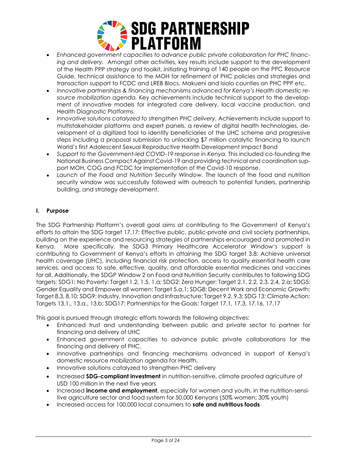

- *Enhanced government capacities to advance public private collaboration for PHC financing and delivery.* Amongst other activities, key results include support to the development of the Health PPP strategy and toolkit, initiating training of 140 people on the PPC Resource Guide, technical assistance to the MOH for refinement of PHC policies and strategies and transaction support to FCDC and LREB Blocs, Makueni and Isiolo counties on PHC PPP etc.
- *Innovative partnerships & financing mechanisms advanced for Kenya's Health domestic resource mobilization agenda.* Key achievements include technical support to the development of innovative models for integrated care delivery, local vaccine production, and Health Diagnostic Platforms.
- *Innovative solutions catalyzed to strengthen PHC delivery.* Achievements include support to multistakeholder platforms and expert panels, a review of digital health technologies, development of a digitized tool to identify beneficiaries of the UHC scheme and progressive steps including a proposal submission to unlocking \$7 million catalytic financing to launch World's first Adolescent Sexual Reproductive Health Development Impact Bond
- Support to the Government-led COVID-19 response in Kenya. This included co-founding the National Business Compact Against Covid-19 and providing technical and coordination support MOH, COG and FCDC for implementation of the Covid-10 response.
- *Launch of the Food and Nutrition Security Window.* The launch of the food and nutrition security window was successfully followed with outreach to potential funders, partnership building, and strategy development.

# **I. Purpose**

The SDG Partnership Platform's overall goal aims at contributing to the Government of Kenya's efforts to attain the SDG target 17.17: Effective public, public-private and civil society partnerships, building on the experience and resourcing strategies of partnerships encouraged and promoted in Kenya. More specifically, the SDG3 Primary Healthcare Accelerator Window's support is contributing to Government of Kenya's efforts in attaining the SDG target 3.8: Achieve universal health coverage (UHC), including financial risk protection, access to quality essential health care services, and access to safe, effective, quality, and affordable essential medicines and vaccines for all. Additionally, the SDGP Window 2 on Food and Nutrition Security contributes to following SDG targets: SDG1: No Poverty: Target 1.2, 1.5, 1.a; SDG2: Zero Hunger: Target 2.1, 2.2, 2.3, 2.4, 2.a; SDG5: Gender Equality and Empower all women: Target 5.a.1; SDG8: Decent Work and Economic Growth: Target 8.3, 8.10; SDG9: Industry, Innovation and Infrastructure: Target 9.2, 9.3; SDG 13: Climate Action: Targets 13.1., 13.a., 13.b; SDG17: Partnerships for the Goals: Target 17.1, 17.3, 17.16, 17.17

This goal is pursued through strategic efforts towards the following objectives:

- Enhanced trust and understanding between public and private sector to partner for financing and delivery of UHC
- Enhanced government capacities to advance public private collaborations for the financing and delivery of PHC.
- Innovative partnerships and financing mechanisms advanced in support of Kenya's domestic resource mobilization agenda for Health.
- Innovative solutions catalyzed to strengthen PHC delivery
- Increased **SDG-compliant investment** in nutrition-sensitive, climate proofed agriculture of USD 100 million in the next five years
- Increased **income and employment**, especially for women and youth, in the nutrition-sensitive agriculture sector and food system for 50,000 Kenyans (50% women; 30% youth)
- Increased access for 100,000 local consumers to **safe and nutritious foods**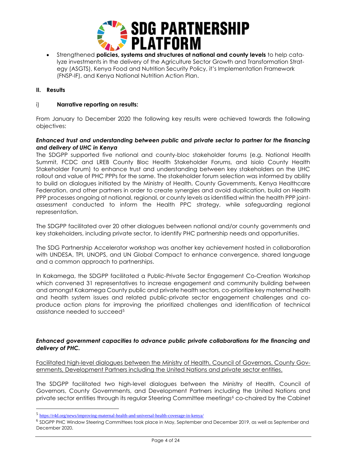

• Strengthened **policies, systems and structures at national and county levels** to help catalyze investments in the delivery of the Agriculture Sector Growth and Transformation Strategy (ASGTS), Kenya Food and Nutrition Security Policy, it's Implementation Framework (FNSP-IF), and Kenya National Nutrition Action Plan.

#### **II. Results**

#### i) **Narrative reporting on results:**

From January to December 2020 the following key results were achieved towards the following objectives:

#### *Enhanced trust and understanding between public and private sector to partner for the financing and delivery of UHC in Kenya*

The SDGPP supported five national and county-bloc stakeholder forums (e.g. National Health Summit, FCDC and LREB County Bloc Health Stakeholder Forums, and Isiolo County Health Stakeholder Forum) to enhance trust and understanding between key stakeholders on the UHC rollout and value of PHC PPPs for the same. The stakeholder forum selection was informed by ability to build on dialogues initiated by the Ministry of Health, County Governments, Kenya Healthcare Federation, and other partners in order to create synergies and avoid duplication, build on Health PPP processes ongoing at national, regional, or county levels as identified within the health PPP jointassessment conducted to inform the Health PPC strategy, while safeguarding regional representation.

The SDGPP facilitated over 20 other dialogues between national and/or county governments and key stakeholders, including private sector, to identify PHC partnership needs and opportunities.

The SDG Partnership Accelerator workshop was another key achievement hosted in collaboration with UNDESA, TPI, UNOPS, and UN Global Compact to enhance convergence, shared language and a common approach to partnerships.

In Kakamega, the SDGPP facilitated a Public-Private Sector Engagement Co-Creation Workshop which convened 31 representatives to increase engagement and community building between and amongst Kakamega County public and private health sectors, co-prioritize key maternal health and health system issues and related public-private sector engagement challenges and coproduce action plans for improving the prioritized challenges and identification of technical assistance needed to succeed<sup>5</sup>

#### *Enhanced government capacities to advance public private collaborations for the financing and delivery of PHC.*

Facilitated high-level dialogues between the Ministry of Health, Council of Governors, County Governments, Development Partners including the United Nations and private sector entities.

The SDGPP facilitated two high-level dialogues between the Ministry of Health, Council of Governors, County Governments, and Development Partners including the United Nations and private sector entities through its regular Steering Committee meetings<sup>6</sup> co-chaired by the Cabinet

<sup>5</sup> <https://r4d.org/news/improving-maternal-health-and-universal-health-coverage-in-kenya/>

<sup>6</sup> SDGPP PHC Window Steering Committees took place in May, September and December 2019, as well as September and December 2020.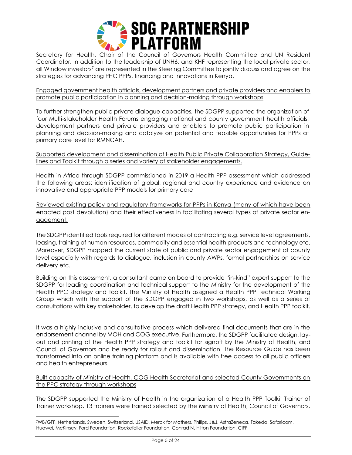

Secretary for Health, Chair of the Council of Governors Health Committee and UN Resident Coordinator. In addition to the leadership of UNH6, and KHF representing the local private sector, all Window investors<sup>7</sup> are represented in the Steering Committee to jointly discuss and agree on the strategies for advancing PHC PPPs, financing and innovations in Kenya.

Engaged government health officials, development partners and private providers and enablers to promote public participation in planning and decision-making through workshops

To further strengthen public private dialogue capacities, the SDGPP supported the organization of four Multi-stakeholder Health Forums engaging national and county government health officials, development partners and private providers and enablers to promote public participation in planning and decision-making and catalyze on potential and feasible opportunities for PPPs at primary care level for RMNCAH.

Supported development and dissemination of Health Public Private Collaboration Strategy, Guidelines and Toolkit through a series and variety of stakeholder engagements.

Health in Africa through SDGPP commissioned in 2019 a Health PPP assessment which addressed the following areas: identification of global, regional and country experience and evidence on innovative and appropriate PPP models for primary care

Reviewed existing policy and regulatory frameworks for PPPs in Kenya (many of which have been enacted post devolution) and their effectiveness in facilitating several types of private sector engagement;

The SDGPP identified tools required for different modes of contracting e.g. service level agreements, leasing, training of human resources, commodity and essential health products and technology etc. Moreover, SDGPP mapped the current state of public and private sector engagement at county level especially with regards to dialogue, inclusion in county AWPs, formal partnerships on service delivery etc.

Building on this assessment, a consultant came on board to provide "in-kind" expert support to the SDGPP for leading coordination and technical support to the Ministry for the development of the Health PPC strategy and toolkit. The Ministry of Health assigned a Health PPP Technical Working Group which with the support of the SDGPP engaged in two workshops, as well as a series of consultations with key stakeholder, to develop the draft Health PPP strategy, and Health PPP toolkit.

It was a highly inclusive and consultative process which delivered final documents that are in the endorsement channel by MOH and COG executive. Furthermore, the SDGPP facilitated design, layout and printing of the Health PPP strategy and toolkit for signoff by the Ministry of Health, and Council of Governors and be ready for rollout and dissemination. The Resource Guide has been transformed into an online training platform and is available with free access to all public officers and health entrepreneurs.

Built capacity of Ministry of Health, COG Health Secretariat and selected County Governments on the PPC strategy through workshops

The SDGPP supported the Ministry of Health in the organization of a Health PPP Toolkit Trainer of Trainer workshop. 13 trainers were trained selected by the Ministry of Health, Council of Governors,

<sup>7</sup>WB/GFF, Netherlands, Sweden, Switzerland, USAID, Merck for Mothers, Philips, J&J, AstraZeneca, Takeda, Safaricom, Huawei, McKinsey, Ford Foundation, Rockefeller Foundation, Conrad N. Hilton Foundation, CIFF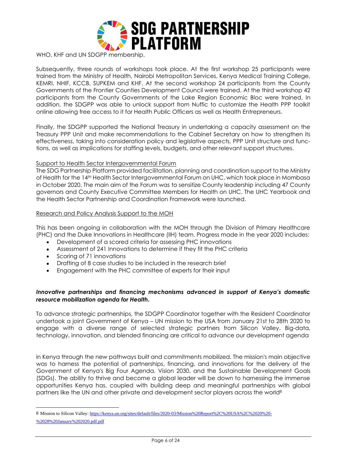

WHO, KHF and UN SDGPP membership.

Subsequently, three rounds of workshops took place. At the first workshop 25 participants were trained from the Ministry of Health, Nairobi Metropolitan Services, Kenya Medical Training College, KEMRI, NHIF, KCCB, SUPKEM and KHF. At the second workshop 24 participants from the County Governments of the Frontier Counties Development Council were trained. At the third workshop 42 participants from the County Governments of the Lake Region Economic Bloc were trained. In addition, the SDGPP was able to unlock support from Nuffic to customize the Health PPP toolkit online allowing free access to it for Health Public Officers as well as Health Entrepreneurs.

Finally, the SDGPP supported the National Treasury in undertaking a capacity assessment on the Treasury PPP Unit and make recommendations to the Cabinet Secretary on how to strengthen its effectiveness, taking into consideration policy and legislative aspects, PPP Unit structure and functions, as well as implications for staffing levels, budgets, and other relevant support structures.

#### Support to Health Sector Intergovernmental Forum

The SDG Partnership Platform provided facilitation, planning and coordination support to the Ministry of Health for the 14<sup>th</sup> Health Sector Intergovernmental Forum on UHC, which took place in Mombasa in October 2020. The main aim of the Forum was to sensitize County leadership including 47 County governors and County Executive Committee Members for Health on UHC. The UHC Yearbook and the Health Sector Partnership and Coordination Framework were launched.

#### Research and Policy Analysis Support to the MOH

This has been ongoing in collaboration with the MOH through the Division of Primary Healthcare (PHC) and the Duke Innovations in Healthcare (IIH) team. Progress made in the year 2020 includes:

- Development of a scored criteria for assessing PHC innovations
- Assessment of 241 Innovations to determine if they fit the PHC criteria
- Scoring of 71 innovations
- Drafting of 8 case studies to be included in the research brief
- Engagement with the PHC committee of experts for their input

#### *Innovative partnerships and financing mechanisms advanced in support of Kenya's domestic resource mobilization agenda for Health.*

To advance strategic partnerships, the SDGPP Coordinator together with the Resident Coordinator undertook a joint Government of Kenya – UN mission to the USA from January 21st to 28th 2020 to engage with a diverse range of selected strategic partners from Silicon Valley. Big-data, technology, innovation, and blended financing are critical to advance our development agenda

in Kenya through the new pathways built and commitments mobilized. The mission's main objective was to harness the potential of partnerships, financing, and innovations for the delivery of the Government of Kenya's Big Four Agenda, Vision 2030, and the Sustainable Development Goals (SDGs). The ability to thrive and become a global leader will be down to harnessing the immense opportunities Kenya has, coupled with building deep and meaningful partnerships with global partners like the UN and other private and development sector players across the world<sup>8</sup>

<sup>8</sup> Mission to Silicon Valley: [https://kenya.un.org/sites/default/files/2020-03/Mission%20Report%2C%20USA%2C%2020%20-](https://kenya.un.org/sites/default/files/2020-03/Mission%20Report%2C%20USA%2C%2020%20-%2028%20January%202020.pdf.pdf) [%2028%20January%202020.pdf.pdf](https://kenya.un.org/sites/default/files/2020-03/Mission%20Report%2C%20USA%2C%2020%20-%2028%20January%202020.pdf.pdf)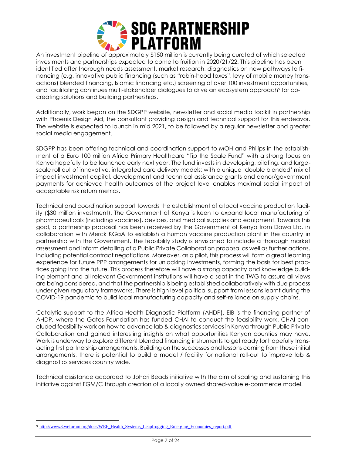

An investment pipeline of approximately \$150 million is currently being curated of which selected investments and partnerships expected to come to fruition in 2020/21/22. This pipeline has been identified after thorough needs assessment, market research, diagnostics on new pathways to financing (e.g. innovative public financing (such as "robin-hood taxes", levy of mobile money transactions) blended financing, Islamic financing etc.) screening of over 100 investment opportunities, and facilitating continues multi-stakeholder dialogues to drive an ecosystem approach<sup>9</sup> for cocreating solutions and building partnerships.

Additionally, work began on the SDGPP website, newsletter and social media toolkit in partnership with Phoenix Design Aid, the consultant providing design and technical support for this endeavor. The website is expected to launch in mid 2021, to be followed by a regular newsletter and greater social media engagement.

SDGPP has been offering technical and coordination support to MOH and Philips in the establishment of a Euro 100 million Africa Primary Healthcare "Tip the Scale Fund" with a strong focus on Kenya hopefully to be launched early next year. The fund invests in developing, piloting, and largescale roll out of innovative, integrated care delivery models; with a unique 'double blended' mix of impact investment capital, development and technical assistance grants and donor/government payments for achieved health outcomes at the project level enables maximal social impact at acceptable risk return metrics.

Technical and coordination support towards the establishment of a local vaccine production facility (\$30 million investment). The Government of Kenya is keen to expand local manufacturing of pharmaceuticals (including vaccines), devices, and medical supplies and equipment. Towards this goal, a partnership proposal has been received by the Government of Kenya from Dawa Ltd. in collaboration with Merck KGaA to establish a human vaccine production plant in the country in partnership with the Government. The feasibility study is envisioned to include a thorough market assessment and inform detailing of a Public Private Collaboration proposal as well as further actions, including potential contract negotiations. Moreover, as a pilot, this process will form a great learning experience for future PPP arrangements for unlocking investments, forming the basis for best practices going into the future. This process therefore will have a strong capacity and knowledge building element and all relevant Government institutions will have a seat in the TWG to assure all views are being considered, and that the partnership is being established collaboratively with due process under given regulatory frameworks. There is high level political support from lessons learnt during the COVID-19 pandemic to build local manufacturing capacity and self-reliance on supply chains.

Catalytic support to the Africa Health Diagnostic Platform (AHDP). EIB is the financing partner of AHDP, where the Gates Foundation has funded CHAI to conduct the feasibility work. CHAI concluded feasibility work on how to advance lab & diagnostics services in Kenya through Public Private Collaboration and gained interesting insights on what opportunities Kenyan counties may have. Work is underway to explore different blended financing instruments to get ready for hopefully transacting first partnership arrangements. Building on the successes and lessons coming from these initial arrangements, there is potential to build a model / facility for national roll-out to improve lab & diagnostics services country wide.

Technical assistance accorded to Johari Beads initiative with the aim of scaling and sustaining this initiative against FGM/C through creation of a locally owned shared-value e-commerce model.

<sup>9</sup> [http://www3.weforum.org/docs/WEF\\_Health\\_Systems\\_Leapfrogging\\_Emerging\\_Economies\\_report.pdf](http://www3.weforum.org/docs/WEF_Health_Systems_Leapfrogging_Emerging_Economies_report.pdf)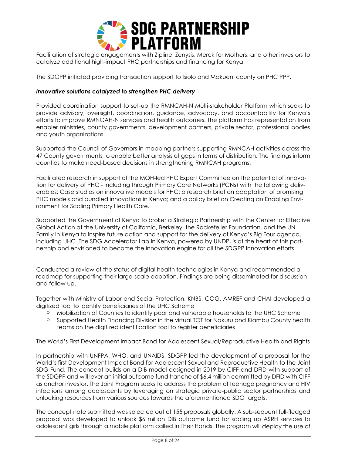

Facilitation of strategic engagements with Zipline, Zenysis, Merck for Mothers, and other investors to catalyze additional high-impact PHC partnerships and financing for Kenya

The SDGPP initiated providing transaction support to Isiolo and Makueni county on PHC PPP.

# *Innovative solutions catalyzed to strengthen PHC delivery*

Provided coordination support to set-up the RMNCAH-N Multi-stakeholder Platform which seeks to provide advisory, oversight, coordination, guidance, advocacy, and accountability for Kenya's efforts to improve RMNCAH-N services and health outcomes. The platform has representation from enabler ministries, county governments, development partners, private sector, professional bodies and youth organizations

Supported the Council of Governors in mapping partners supporting RMNCAH activities across the 47 County governments to enable better analysis of gaps in terms of distribution. The findings inform counties to make need-based decisions in strengthening RMNCAH programs.

Facilitated research in support of the MOH-led PHC Expert Committee on the potential of innovation for delivery of PHC - including through Primary Care Networks (PCNs) with the following deliverables: Case studies on innovative models for PHC; a research brief on adaptation of promising PHC models and bundled innovations in Kenya; and a policy brief on Creating an Enabling Environment for Scaling Primary Health Care.

Supported the Government of Kenya to broker a Strategic Partnership with the Center for Effective Global Action at the University of California, Berkeley, the Rockefeller Foundation, and the UN Family in Kenya to inspire future action and support for the delivery of Kenya's Big Four agenda, including UHC. The SDG Accelerator Lab in Kenya, powered by UNDP, is at the heart of this partnership and envisioned to become the innovation engine for all the SDGPP Innovation efforts.

Conducted a review of the status of digital health technologies in Kenya and recommended a roadmap for supporting their large-scale adoption. Findings are being disseminated for discussion and follow up.

Together with Ministry of Labor and Social Protection, KNBS, COG, AMREF and CHAI developed a digitized tool to identify beneficiaries of the UHC Scheme

- o Mobilization of Counties to identify poor and vulnerable households to the UHC Scheme
- $\circ$  Supported Health Financina Division in the virtual TOT for Nakuru and Kiambu County health teams on the digitized identification tool to register beneficiaries

#### The World's First Development Impact Bond for Adolescent Sexual/Reproductive Health and Riahts

In partnership with UNFPA, WHO, and UNAIDS, SDGPP led the development of a proposal for the World's first Development Impact Bond for Adolescent Sexual and Reproductive Health to the Joint SDG Fund. The concept builds on a DIB model designed in 2019 by CIFF and DFID with support of the SDGPP and will lever an initial outcome fund tranche of \$6.4 million committed by DFID with CIFF as anchor investor. The Joint Program seeks to address the problem of teenage pregnancy and HIV infections among adolescents by leveraging on strategic private-public sector partnerships and unlocking resources from various sources towards the aforementioned SDG targets.

The concept note submitted was selected out of 155 proposals globally. A sub-sequent full-fledged proposal was developed to unlock \$6 million DIB outcome fund for scaling up ASRH services to adolescent girls through a mobile platform called In Their Hands. The program will deploy the use of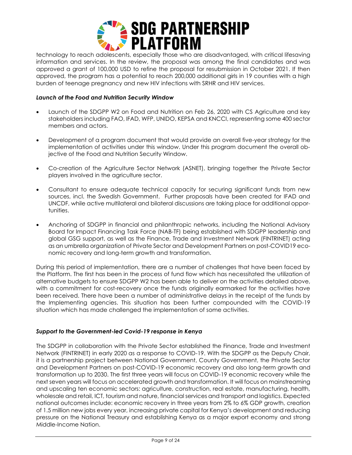

technology to reach adolescents, especially those who are disadvantaged, with critical lifesaving information and services. In the review, the proposal was among the final candidates and was approved a grant of 100,000 USD to refine the proposal for resubmission in October 2021. If then approved, the program has a potential to reach 200,000 additional girls in 19 counties with a high burden of teenage pregnancy and new HIV infections with SRHR and HIV services.

# *Launch of the Food and Nutrition Security Window*

- Launch of the SDGPP W2 on Food and Nutrition on Feb 26, 2020 with CS Agriculture and key stakeholders including FAO, IFAD, WFP, UNIDO, KEPSA and KNCCI, representing some 400 sector members and actors.
- Development of a program document that would provide an overall five-year strategy for the implementation of activities under this window. Under this program document the overall objective of the Food and Nutrition Security Window.
- Co-creation of the Agriculture Sector Network (ASNET), bringing together the Private Sector players involved in the agriculture sector.
- Consultant to ensure adequate technical capacity for securing significant funds from new sources, incl. the Swedish Government. Further proposals have been created for IFAD and UNCDF, while active multilateral and bilateral discussions are taking place for additional opportunities.
- Anchoring of SDGPP in financial and philanthropic networks, including the National Advisory Board for Impact Financing Task Force (NAB-TF) being established with SDGPP leadership and global GSG support, as well as the Finance, Trade and Investment Network (FINTRINET) acting as an umbrella organization of Private Sector and Development Partners on post-COVID19 economic recovery and long-term growth and transformation.

During this period of implementation, there are a number of challenges that have been faced by the Platform. The first has been in the process of fund flow which has necessitated the utilization of alternative budgets to ensure SDGPP W2 has been able to deliver on the activities detailed above, with a commitment for cost-recovery once the funds originally earmarked for the activities have been received. There have been a number of administrative delays in the receipt of the funds by the Implementing agencies. This situation has been further compounded with the COVID-19 situation which has made challenged the implementation of some activities.

# *Support to the Government-led Covid-19 response in Kenya*

The SDGPP in collaboration with the Private Sector established the Finance, Trade and Investment Network (FINTRINET) in early 2020 as a response to COVID-19. With the SDGPP as the Deputy Chair, it is a partnership project between National Government, County Government, the Private Sector and Development Partners on post-COVID-19 economic recovery and also long-term growth and transformation up to 2030. The first three years will focus on COVID-19 economic recovery while the next seven years will focus on accelerated growth and transformation. It will focus on mainstreaming and upscaling ten economic sectors: agriculture, construction, real estate, manufacturing, health, wholesale and retail, ICT, tourism and nature, financial services and transport and logistics. Expected national outcomes include: economic recovery in three years from 2% to 6% GDP growth, creation of 1.5 million new jobs every year, increasing private capital for Kenya's development and reducing pressure on the National Treasury and establishing Kenya as a major export economy and strong Middle-Income Nation.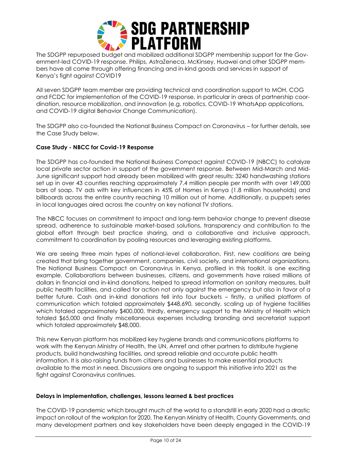

The SDGPP repurposed budget and mobilized additional SDGPP membership support for the Government-led COVID-19 response. Philips, AstraZeneca, McKinsey, Huawei and other SDGPP members have all come through offering financing and in-kind goods and services in support of Kenya's fight against COVID19

All seven SDGPP team member are providing technical and coordination support to MOH, COG and FCDC for implementation of the COVID-19 response, in particular in areas of partnership coordination, resource mobilization, and innovation (e.g. robotics, COVID-19 WhatsApp applications, and COVID-19 digital Behavior Change Communication).

The SDGPP also co-founded the National Business Compact on Coronavirus – for further details, see the Case Study below.

# **Case Study - NBCC for Covid-19 Response**

The SDGPP has co-founded the National Business Compact against COVID-19 (NBCC) to catalyze local private sector action in support of the government response. Between Mid-March and Mid-June significant support had already been mobilized with great results: 3240 handwashing stations set up in over 43 counties reaching approximately 7.4 million people per month with over 149,000 bars of soap. TV ads with key influencers in 45% of Homes in Kenya (1.8 million households) and billboards across the entire country reaching 10 million out of home. Additionally, a puppets series in local languages aired across the country on key national TV stations.

The NBCC focuses on commitment to impact and long-term behavior change to prevent disease spread, adherence to sustainable market-based solutions, transparency and contribution to the global effort through best practice sharing, and a collaborative and inclusive approach, commitment to coordination by pooling resources and leveraging existing platforms.

We are seeing three main types of national-level collaboration. First, new coalitions are being created that bring together government, companies, civil society, and international organizations. The National Business Compact on Coronavirus in Kenya, profiled in this toolkit, is one exciting example. Collaborations between businesses, citizens, and governments have raised millions of dollars in financial and in-kind donations, helped to spread information on sanitary measures, built public health facilities, and called for action not only against the emergency but also in favor of a better future. Cash and in-kind donations fell into four buckets – firstly, a unified platform of communication which totaled approximately \$448,690, secondly, scaling up of hygiene facilities which totaled approximately \$400,000, thirdly, emergency support to the Ministry of Health which totaled \$65,000 and finally miscellaneous expenses including branding and secretariat support which totaled approximately \$48,000.

This new Kenyan platform has mobilized key hygiene brands and communications platforms to work with the Kenyan Ministry of Health, the UN, Amref and other partners to distribute hygiene products, build handwashing facilities, and spread reliable and accurate public health information. It is also raising funds from citizens and businesses to make essential products available to the most in need. Discussions are ongoing to support this initiative into 2021 as the fight against Coronavirus continues.

# **Delays in implementation, challenges, lessons learned & best practices**

The COVID-19 pandemic which brought much of the world to a standstill in early 2020 had a drastic impact on rollout of the workplan for 2020. The Kenyan Ministry of Health, County Governments, and many development partners and key stakeholders have been deeply engaged in the COVID-19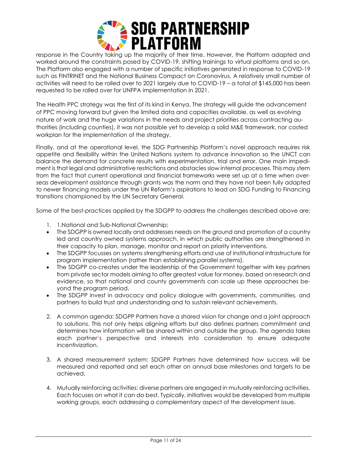

response in the Country taking up the majority of their time. However, the Platform adapted and worked around the constraints posed by COVID-19, shifting trainings to virtual platforms and so on. The Platform also engaged with a number of specific initiatives generated in response to COVID-19 such as FINTRINET and the National Business Compact on Coronavirus. A relatively small number of activities will need to be rolled over to 2021 largely due to COVID-19 – a total of \$145,000 has been requested to be rolled over for UNFPA implementation in 2021.

The Health PPC strategy was the first of its kind in Kenya. The strategy will guide the advancement of PPC moving forward but given the limited data and capacities available, as well as evolving nature of work and the huge variations in the needs and project priorities across contracting authorities (including counties), it was not possible yet to develop a solid M&E framework, nor costed workplan for the implementation of the strategy.

Finally, and at the operational level, the SDG Partnership Platform's novel approach requires risk appetite and flexibility within the United Nations system to advance innovation so the UNCT can balance the demand for concrete results with experimentation, trial and error. One main impediment is that legal and administrative restrictions and obstacles slow internal processes. This may stem from the fact that current operational and financial frameworks were set up at a time when overseas development assistance through grants was the norm and they have not been fully adapted to newer financing models under the UN Reform's aspirations to lead on SDG Funding to Financing transitions championed by the UN Secretary General.

Some of the best-practices applied by the SDGPP to address the challenges described above are:

- 1. 1.National and Sub-National Ownership:
- The SDGPP is owned locally and addresses needs on the ground and promotion of a country led and country owned systems approach, in which public authorities are strengthened in their capacity to plan, manage, monitor and report on priority interventions.
- The SDGPP focusses on systems strengthening efforts and use of institutional infrastructure for program implementation (rather than establishing parallel systems).
- The SDGPP co-creates under the leadership of the Government together with key partners from private sector models aiming to offer greatest value for money, based on research and evidence, so that national and county governments can scale up these approaches beyond the program period.
- The SDGPP invest in advocacy and policy dialogue with governments, communities, and partners to build trust and understanding and to sustain relevant achievements.
- 2. A common agenda: SDGPP Partners have a shared vision for change and a joint approach to solutions. This not only helps aligning efforts but also defines partners commitment and determines how information will be shared within and outside the group. The agenda takes each partner's perspective and interests into consideration to ensure adequate incentivization.
- 3. A shared measurement system: SDGPP Partners have determined how success will be measured and reported and set each other on annual base milestones and targets to be achieved.
- 4. Mutually reinforcing activities: diverse partners are engaged in mutually reinforcing activities. Each focuses on what it can do best. Typically, initiatives would be developed from multiple working groups, each addressing a complementary aspect of the development issue.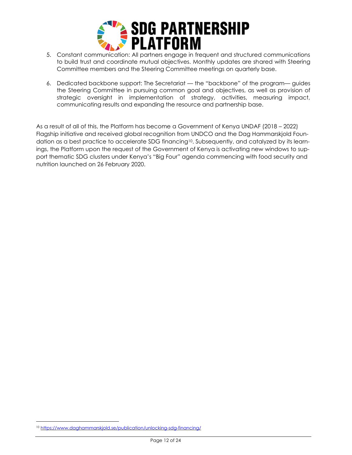

- 5. Constant communication: All partners engage in frequent and structured communications to build trust and coordinate mutual objectives. Monthly updates are shared with Steering Committee members and the Steering Committee meetings on quarterly base.
- 6. Dedicated backbone support: The Secretariat the "backbone" of the program— guides the Steering Committee in pursuing common goal and objectives, as well as provision of strategic oversight in implementation of strategy, activities, measuring impact, communicating results and expanding the resource and partnership base.

As a result of all of this, the Platform has become a Government of Kenya UNDAF (2018 – 2022) Flagship initiative and received global recognition from UNDCO and the Dag Hammarskjold Foundation as a best practice to accelerate SDG financing<sup>10</sup>. Subsequently, and catalyzed by its learnings, the Platform upon the request of the Government of Kenya is activating new windows to support thematic SDG clusters under Kenya's "Big Four" agenda commencing with food security and nutrition launched on 26 February 2020.

<sup>10</sup> <https://www.daghammarskjold.se/publication/unlocking-sdg-financing/>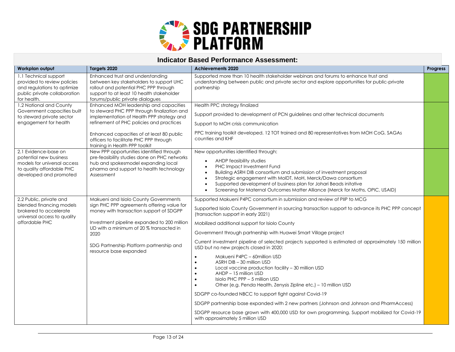

# **Indicator Based Performance Assessment:**

| Workplan output                                                                                                                      | Targets 2020                                                                                                                                                                                                                                                                                           | <b>Achievements 2020</b><br>Progress                                                                                                                                                                                                                                                                                                                                                                                                                                                                                                                                                                                                                                                                                                                                                                                                                                                                                                                                                                                                                                     |  |  |
|--------------------------------------------------------------------------------------------------------------------------------------|--------------------------------------------------------------------------------------------------------------------------------------------------------------------------------------------------------------------------------------------------------------------------------------------------------|--------------------------------------------------------------------------------------------------------------------------------------------------------------------------------------------------------------------------------------------------------------------------------------------------------------------------------------------------------------------------------------------------------------------------------------------------------------------------------------------------------------------------------------------------------------------------------------------------------------------------------------------------------------------------------------------------------------------------------------------------------------------------------------------------------------------------------------------------------------------------------------------------------------------------------------------------------------------------------------------------------------------------------------------------------------------------|--|--|
| 1.1 Technical support<br>provided to review policies<br>and regulations to optimize<br>public private collaboration<br>for health.   | Enhanced trust and understanding<br>between key stakeholders to support UHC<br>rollout and potential PHC PPP through<br>support to at least 10 health stakeholder<br>forums/public private dialogues                                                                                                   | Supported more than 10 health stakeholder webinars and forums to enhance trust and<br>understanding between public and private sector and explore opportunities for public-private<br>partnership                                                                                                                                                                                                                                                                                                                                                                                                                                                                                                                                                                                                                                                                                                                                                                                                                                                                        |  |  |
| 1.2 National and County                                                                                                              | Enhanced MOH leadership and capacities                                                                                                                                                                                                                                                                 | Health PPC strategy finalized                                                                                                                                                                                                                                                                                                                                                                                                                                                                                                                                                                                                                                                                                                                                                                                                                                                                                                                                                                                                                                            |  |  |
| Government capacities built<br>to steward private sector<br>engagement for health                                                    | to steward PHC PPP through finalization and<br>implementation of Health PPP strategy and<br>refinement of PHC policies and practices                                                                                                                                                                   | Support provided to development of PCN guidelines and other technical documents<br>Support to MOH crisis communication                                                                                                                                                                                                                                                                                                                                                                                                                                                                                                                                                                                                                                                                                                                                                                                                                                                                                                                                                   |  |  |
|                                                                                                                                      | Enhanced capacities of at least 80 public<br>officers to facilitate PHC PPP through<br>training in Health PPP toolkit                                                                                                                                                                                  | PPC training toolkit developed. 12 TOT trained and 80 representatives from MOH CoG, SAGAs<br>counties and KHF                                                                                                                                                                                                                                                                                                                                                                                                                                                                                                                                                                                                                                                                                                                                                                                                                                                                                                                                                            |  |  |
| 2.1 Evidence-base on<br>potential new business<br>models for universal access<br>to quality affordable PHC<br>developed and promoted | New PPP opportunities identified through<br>pre-feasibility studies done on PHC networks<br>hub and spokesmodel expanding local<br>pharma and support to health technology<br>Assessment                                                                                                               | New opportunities identified through:<br>AHDP feasibility studies<br>$\bullet$<br>PHC Impact Investment Fund<br>$\bullet$<br>Building ASRH DIB consortium and submission of investment proposal<br>Strategic engagement with MoIDT, MoH, Merck/Dawa consortium<br>Supported development of business plan for Johari Beads initative<br>$\bullet$<br>Screening for Maternal Outcomes Matter Alliance (Merck for Moths, OPIC, USAID)                                                                                                                                                                                                                                                                                                                                                                                                                                                                                                                                                                                                                                       |  |  |
| 2.2 Public, private and<br>blended financing models<br>brokered to accelerate<br>universal access to quality<br>affordable PHC       | Makueni and Isiolo County Governments<br>sign PHC PPP agreements offering value for<br>money with transaction support of SDGPP<br>Investment pipeline expanded to 200 million<br>UD with a minimum of 20 % transacted in<br>2020<br>SDG Partnership Platform partnership and<br>resource base expanded | Supported Makueni P4PC consortium in submission and review of PIIP to MCG<br>Supported Isiolo County Government in sourcing transaction support to advance its PHC PPP concept<br>(transaction support in early 2021)<br>Mobilized additional support for Isiolo County<br>Government through partnership with Huawei Smart Village project<br>Current investment pipeline of selected projects supported is estimated at approximately 150 million<br>USD but no new projects closed in 2020:<br>Makueni P4PC - 60million USD<br>$\bullet$<br>ASRH DIB - 30 million USD<br>Local vaccine production facility - 30 million USD<br>AHDP - 15 million USD<br>Isiolo PHC PPP - 5 million USD<br>Other (e.g. Penda Health, Zenysis Zipline etc.) - 10 million USD<br>$\bullet$<br>SDGPP co-founded NBCC to support fight against Covid-19<br>SDGPP partnership base expanded with 2 new partners (Johnson and Johnson and PharmAccess)<br>SDGPP resource base grown with 400,000 USD for own programming. Support mobilized for Covid-19<br>with approximately 5 million USD |  |  |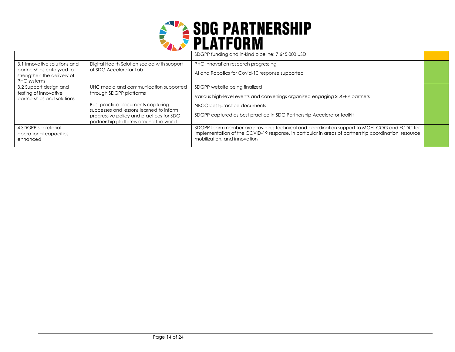

|                                                           |                                                                              | SDGPP funding and in-kind pipeline: 7,645,000 USD                                                                                                                                                                                    |  |
|-----------------------------------------------------------|------------------------------------------------------------------------------|--------------------------------------------------------------------------------------------------------------------------------------------------------------------------------------------------------------------------------------|--|
| 3.1 Innovative solutions and<br>partnerships catalyzed to | Digital Health Solution scaled with support<br>of SDG Accelerator Lab        | PHC Innovation research progressing                                                                                                                                                                                                  |  |
| strengthen the delivery of                                |                                                                              | AI and Robotics for Covid-10 response supported                                                                                                                                                                                      |  |
| PHC systems                                               |                                                                              |                                                                                                                                                                                                                                      |  |
| 3.2 Support design and<br>testing of innovative           | UHC media and communication supported<br>through SDGPP platforms             | SDGPP website being finalized                                                                                                                                                                                                        |  |
| partnerships and solutions                                |                                                                              | Various high-level events and convenings organized engaging SDGPP partners                                                                                                                                                           |  |
|                                                           | Best practice documents capturing<br>successes and lessons learned to inform | NBCC best-practice documents                                                                                                                                                                                                         |  |
|                                                           | progressive policy and practices for SDG                                     | SDGPP captured as best practice in SDG Partnership Accelerator toolkit                                                                                                                                                               |  |
|                                                           | partnership platforms around the world                                       |                                                                                                                                                                                                                                      |  |
| 4 SDGPP secretariat<br>operational capacities<br>enhanced |                                                                              | SDGPP team member are providing technical and coordination support to MOH, COG and FCDC for<br>implementation of the COVID-19 response, in particular in areas of partnership coordination, resource<br>mobilization, and innovation |  |
|                                                           |                                                                              |                                                                                                                                                                                                                                      |  |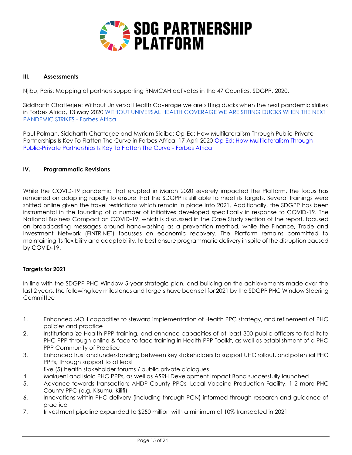

# **III. Assessments**

Njibu, Peris: Mapping of partners supporting RNMCAH activates in the 47 Counties, SDGPP, 2020.

Siddharth Chatterjee: Without Universal Health Coverage we are sitting ducks when the next pandemic strikes in Forbes Africa, 13 May 2020 [WITHOUT UNIVERSAL HEALTH COVERAGE WE ARE SITTING DUCKS WHEN THE NEXT](https://www.forbesafrica.com/opinion/2020/05/13/without-universal-health-coverage-we-are-sitting-ducks-when-the-next-pandemic-strikes/)  [PANDEMIC STRIKES -](https://www.forbesafrica.com/opinion/2020/05/13/without-universal-health-coverage-we-are-sitting-ducks-when-the-next-pandemic-strikes/) Forbes Africa

Paul Polman, Siddharth Chatterjee and Myriam Sidibe: Op-Ed: How Multilateralism Through Public-Private Partnerships Is Key To Flatten The Curve in Forbes Africa, 17 April 2020 [Op-Ed: How Multilateralism Through](https://www.forbesafrica.com/current-affairs/2020/04/17/op-ed-how-multilateralism-through-public-private-partnerships-is-key-to-flatten-the-curve/)  [Public-Private Partnerships Is Key To Flatten The Curve -](https://www.forbesafrica.com/current-affairs/2020/04/17/op-ed-how-multilateralism-through-public-private-partnerships-is-key-to-flatten-the-curve/) Forbes Africa

#### **IV. Programmatic Revisions**

While the COVID-19 pandemic that erupted in March 2020 severely impacted the Platform, the focus has remained on adapting rapidly to ensure that the SDGPP is still able to meet its targets. Several trainings were shifted online given the travel restrictions which remain in place into 2021. Additionally, the SDGPP has been instrumental in the founding of a number of initiatives developed specifically in response to COVID-19. The National Business Compact on COVID-19, which is discussed in the Case Study section of the report, focused on broadcasting messages around handwashing as a prevention method, while the Finance, Trade and Investment Network (FINTRINET) focusses on economic recovery. The Platform remains committed to maintaining its flexibility and adaptability, to best ensure programmatic delivery in spite of the disruption caused by COVID-19.

#### **Targets for 2021**

In line with the SDGPP PHC Window 5-year strategic plan, and building on the achievements made over the last 2 years, the following key milestones and targets have been set for 2021 by the SDGPP PHC Window Steering **Committee** 

- 1. Enhanced MOH capacities to steward implementation of Health PPC strategy, and refinement of PHC policies and practice
- 2. Institutionalize Health PPP training, and enhance capacities of at least 300 public officers to facilitate PHC PPP through online & face to face training in Health PPP Toolkit, as well as establishment of a PHC PPP Community of Practice
- 3. Enhanced trust and understanding between key stakeholders to support UHC rollout, and potential PHC PPPs, through support to at least
- five (5) health stakeholder forums / public private dialogues
- 4. Makueni and Isiolo PHC PPPs, as well as ASRH Development Impact Bond successfully launched
- 5. Advance towards transaction; AHDP County PPCs, Local Vaccine Production Facility, 1-2 more PHC County PPC (e.g. Kisumu, Kilifi)
- 6. Innovations within PHC delivery (including through PCN) informed through research and guidance of practice
- 7. Investment pipeline expanded to \$250 million with a minimum of 10% transacted in 2021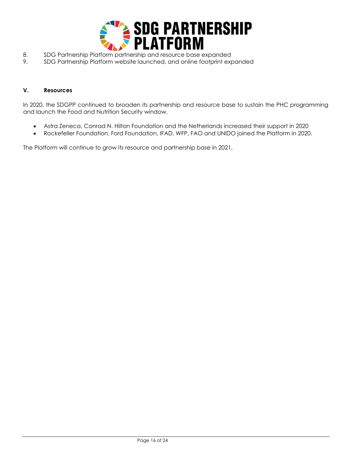

- 8. SDG Partnership Platform partnership and resource base expanded
- 9. SDG Partnership Platform website launched, and online footprint expanded

# **V. Resources**

In 2020, the SDGPP continued to broaden its partnership and resource base to sustain the PHC programming and launch the Food and Nutrition Security window.

- Astra Zeneca, Conrad N. Hilton Foundation and the Netherlands increased their support in 2020
- Rockefeller Foundation, Ford Foundation, IFAD, WFP, FAO and UNIDO joined the Platform in 2020.

The Platform will continue to grow its resource and partnership base in 2021.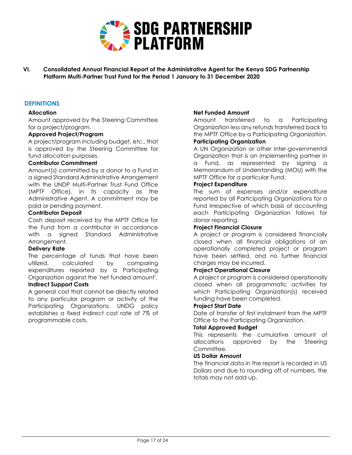

**VI. Consolidated Annual Financial Report of the Administrative Agent for the Kenya SDG Partnership Platform Multi-Partner Trust Fund for the Period 1 January to 31 December 2020**

# **DEFINITIONS**

#### **Allocation**

Amount approved by the Steering Committee for a project/program.

#### **Approved Project/Program**

A project/program including budget, etc., that is approved by the Steering Committee for fund allocation purposes.

#### **Contributor Commitment**

Amount(s) committed by a donor to a Fund in a signed Standard Administrative Arrangement with the UNDP Multi-Partner Trust Fund Office (MPTF Office), in its capacity as the Administrative Agent. A commitment may be paid or pending payment.

#### **Contributor Deposit**

Cash deposit received by the MPTF Office for the Fund from a contributor in accordance with a signed Standard Administrative Arrangement.

#### **Delivery Rate**

The percentage of funds that have been utilized, calculated by comparing expenditures reported by a Participating Organization against the 'net funded amount'.

# **Indirect Support Costs**

A general cost that cannot be directly related to any particular program or activity of the Participating Organizations. UNDG policy establishes a fixed indirect cost rate of 7% of programmable costs.

# **Net Funded Amount**

Amount transferred to a Participating Organization less any refunds transferred back to the MPTF Office by a Participating Organization. **Participating Organization**

A UN Organization or other inter-governmental Organization that is an implementing partner in a Fund, as represented by signing a Memorandum of Understanding (MOU) with the MPTF Office for a particular Fund.

#### **Project Expenditure**

The sum of expenses and/or expenditure reported by all Participating Organizations for a Fund irrespective of which basis of accounting each Participating Organization follows for donor reporting.

#### **Project Financial Closure**

A project or program is considered financially closed when all financial obligations of an operationally completed project or program have been settled, and no further financial charges may be incurred.

#### **Project Operational Closure**

A project or program is considered operationally closed when all programmatic activities for which Participating Organization(s) received funding have been completed.

#### **Project Start Date**

Date of transfer of first instalment from the MPTF Office to the Participating Organization.

#### **Total Approved Budget**

This represents the cumulative amount of allocations approved by the Steering Committee.

#### **US Dollar Amount**

The financial data in the report is recorded in US Dollars and due to rounding off of numbers, the totals may not add up.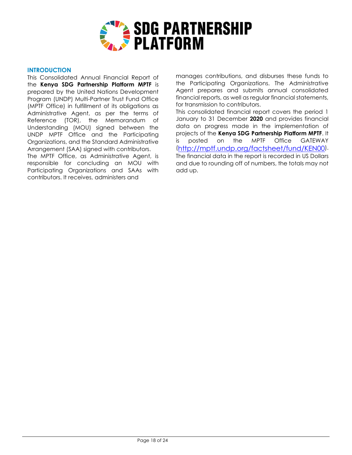

#### **INTRODUCTION**

This Consolidated Annual Financial Report of the **Kenya SDG Partnership Platform MPTF** is prepared by the United Nations Development Program (UNDP) Multi-Partner Trust Fund Office (MPTF Office) in fulfillment of its obligations as Administrative Agent, as per the terms of Reference (TOR), the Memorandum of Understanding (MOU) signed between the UNDP MPTF Office and the Participating Organizations, and the Standard Administrative Arrangement (SAA) signed with contributors.

The MPTF Office, as Administrative Agent, is responsible for concluding an MOU with Participating Organizations and SAAs with contributors. It receives, administers and

manages contributions, and disburses these funds to the Participating Organizations. The Administrative Agent prepares and submits annual consolidated financial reports, as well as regular financial statements, for transmission to contributors.

This consolidated financial report covers the period 1 January to 31 December **2020** and provides financial data on progress made in the implementation of projects of the **Kenya SDG Partnership Platform MPTF**. It is posted on the MPTF Office GATEWAY (<http://mptf.undp.org/factsheet/fund/KEN00>). The financial data in the report is recorded in US Dollars and due to rounding off of numbers, the totals may not add up.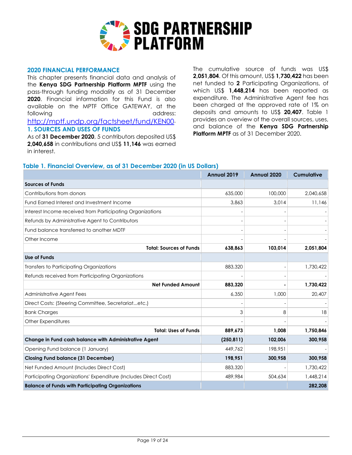

#### **2020 FINANCIAL PERFORMANCE**

This chapter presents financial data and analysis of the **Kenya SDG Partnership Platform MPTF** using the pass-through funding modality as of 31 December **2020**. Financial information for this Fund is also available on the MPTF Office GATEWAY, at the following and address: <http://mptf.undp.org/factsheet/fund/KEN00>.

#### **1. SOURCES AND USES OF FUNDS**

As of **31 December 2020**, 5 contributors deposited US\$ **2,040,658** in contributions and US\$ **11,146** was earned in interest.

The cumulative source of funds was US\$ **2,051,804**. Of this amount, US\$ **1,730,422** has been net funded to **2** Participating Organizations, of which US\$ **1,448,214** has been reported as expenditure. The Administrative Agent fee has been charged at the approved rate of 1% on deposits and amounts to US\$ **20,407**. Table 1 provides an overview of the overall sources, uses, and balance of the **Kenya SDG Partnership Platform MPTF** as of 31 December 2020.

#### **Table 1. Financial Overview, as of 31 December 2020 (in US Dollars)**

|                                                                 | Annual 2019 | Annual 2020 | <b>Cumulative</b> |
|-----------------------------------------------------------------|-------------|-------------|-------------------|
| <b>Sources of Funds</b>                                         |             |             |                   |
| Contributions from donors                                       | 635,000     | 100,000     | 2,040,658         |
| Fund Earned Interest and Investment Income                      | 3.863       | 3.014       | 11,146            |
| Interest Income received from Participating Organizations       |             |             |                   |
| Refunds by Administrative Agent to Contributors                 |             |             |                   |
| Fund balance transferred to another MDTF                        |             |             |                   |
| Other Income                                                    |             |             |                   |
| <b>Total: Sources of Funds</b>                                  | 638,863     | 103,014     | 2,051,804         |
| Use of Funds                                                    |             |             |                   |
| Transfers to Participating Organizations                        | 883,320     |             | 1,730,422         |
| Refunds received from Participating Organizations               |             |             |                   |
| <b>Net Funded Amount</b>                                        | 883,320     |             | 1,730,422         |
| Administrative Agent Fees                                       | 6,350       | 1,000       | 20,407            |
| Direct Costs: (Steering Committee, Secretariatetc.)             |             |             |                   |
| <b>Bank Charges</b>                                             | 3           | 8           | 18                |
| Other Expenditures                                              |             |             |                   |
| <b>Total: Uses of Funds</b>                                     | 889,673     | 1,008       | 1,750,846         |
| Change in Fund cash balance with Administrative Agent           | (250, 811)  | 102,006     | 300,958           |
| Opening Fund balance (1 January)                                | 449.762     | 198,951     |                   |
| <b>Closing Fund balance (31 December)</b>                       | 198,951     | 300,958     | 300,958           |
| Net Funded Amount (Includes Direct Cost)                        | 883,320     |             | 1,730,422         |
| Participating Organizations' Expenditure (Includes Direct Cost) | 489,984     | 504,634     | 1,448,214         |
| <b>Balance of Funds with Participating Organizations</b>        |             |             | 282,208           |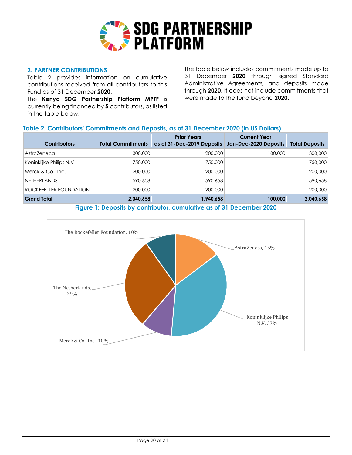

# **2. PARTNER CONTRIBUTIONS**

Table 2 provides information on cumulative contributions received from all contributors to this Fund as of 31 December **2020**.

The **Kenya SDG Partnership Platform MPTF** is currently being financed by **5** contributors, as listed in the table below.

The table below includes commitments made up to 31 December **2020** through signed Standard Administrative Agreements, and deposits made through **2020**. It does not include commitments that were made to the fund beyond **2020**.

# **Table 2. Contributors' Commitments and Deposits, as of 31 December 2020 (in US Dollars)**

| <b>Contributors</b>           | <b>Total Commitments</b> | <b>Prior Years</b><br>as of 31-Dec-2019 Deposits | <b>Current Year</b><br>Jan-Dec-2020 Deposits | <b>Total Deposits</b> |
|-------------------------------|--------------------------|--------------------------------------------------|----------------------------------------------|-----------------------|
| AstraZeneca                   | 300,000                  | 200,000                                          | 100,000                                      | 300,000               |
| Koninklijke Philips N.V       | 750,000                  | 750,000                                          |                                              | 750,000               |
| Merck & Co., Inc.             | 200,000                  | 200,000                                          |                                              | 200,000               |
| NETHERLANDS                   | 590,658                  | 590,658                                          |                                              | 590,658               |
| <b>ROCKEFELLER FOUNDATION</b> | 200,000                  | 200,000                                          |                                              | 200,000               |
| <b>Grand Total</b>            | 2,040,658                | 1,940,658                                        | 100,000                                      | 2,040,658             |

**Figure 1: Deposits by contributor, cumulative as of 31 December 2020**

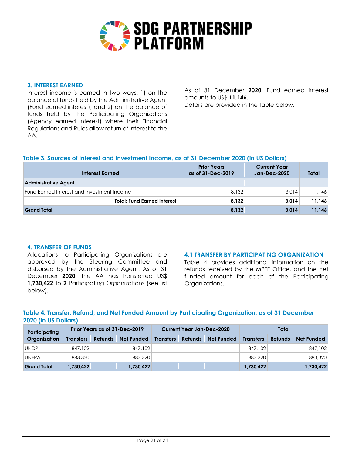

#### **3. INTEREST EARNED**

Interest income is earned in two ways: 1) on the balance of funds held by the Administrative Agent (Fund earned interest), and 2) on the balance of funds held by the Participating Organizations (Agency earned interest) where their Financial Regulations and Rules allow return of interest to the AA.

As of 31 December **2020**, Fund earned interest amounts to US\$ **11,146**. Details are provided in the table below.

# **Table 3. Sources of Interest and Investment Income, as of 31 December 2020 (in US Dollars)**

| Interest Earned                            | <b>Prior Years</b><br>as of 31-Dec-2019 | <b>Current Year</b><br><b>Jan-Dec-2020</b> | <b>Total</b> |
|--------------------------------------------|-----------------------------------------|--------------------------------------------|--------------|
| <b>Administrative Agent</b>                |                                         |                                            |              |
| Fund Earned Interest and Investment Income | 8.132                                   | 3.014                                      | 11,146       |
| <b>Total: Fund Earned Interest</b>         | 8,132                                   | 3,014                                      | 11,146       |
| <b>Grand Total</b>                         | 8,132                                   | 3.014                                      | 11,146       |

#### **4. TRANSFER OF FUNDS**

Allocations to Participating Organizations are approved by the Steering Committee and disbursed by the Administrative Agent. As of 31 December **2020**, the AA has transferred US\$ **1,730,422** to **2** Participating Organizations (see list below).

# **4.1 TRANSFER BY PARTICIPATING ORGANIZATION**

Table 4 provides additional information on the refunds received by the MPTF Office, and the net funded amount for each of the Participating Organizations.

# **Table 4. Transfer, Refund, and Net Funded Amount by Participating Organization, as of 31 December 2020 (in US Dollars)**

| Participating      | Prior Years as of 31-Dec-2019 |                |                   | <b>Current Year Jan-Dec-2020</b> |                |                   | Total            |                |                   |
|--------------------|-------------------------------|----------------|-------------------|----------------------------------|----------------|-------------------|------------------|----------------|-------------------|
| Organization       | <b>Transfers</b>              | <b>Refunds</b> | <b>Net Funded</b> | <b>Transfers</b>                 | <b>Refunds</b> | <b>Net Funded</b> | <b>Transfers</b> | <b>Refunds</b> | <b>Net Funded</b> |
| UNDP               | 847,102                       |                | 847,102           |                                  |                |                   | 847,102          |                | 847,102           |
| <b>UNFPA</b>       | 883,320                       |                | 883,320           |                                  |                |                   | 883,320          |                | 883,320           |
| <b>Grand Total</b> | 1,730,422                     |                | 1,730,422         |                                  |                |                   | 1,730,422        |                | 1,730,422         |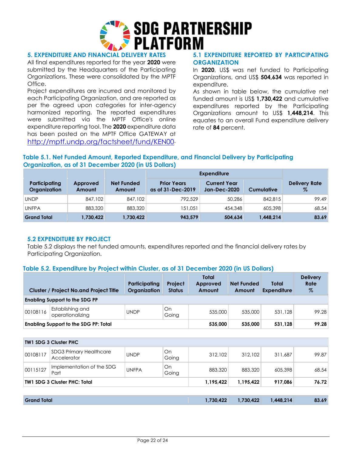

# **5. EXPENDITURE AND FINANCIAL DELIVERY RATES**

All final expenditures reported for the year **2020** were submitted by the Headquarters of the Participating Organizations. These were consolidated by the MPTF **Office** 

Project expenditures are incurred and monitored by each Participating Organization, and are reported as per the agreed upon categories for inter-agency harmonized reporting. The reported expenditures were submitted via the MPTF Office's online expenditure reporting tool. The **2020** expenditure data has been posted on the MPTF Office GATEWAY at <http://mptf.undp.org/factsheet/fund/KEN00>.

# **5.1 EXPENDITURE REPORTED BY PARTICIPATING ORGANIZATION**

In **2020**, US\$ was net funded to Participating Organizations, and US\$ **504,634** was reported in expenditure.

As shown in table below, the cumulative net funded amount is US\$ **1,730,422** and cumulative expenditures reported by the Participating Organizations amount to US\$ **1,448,214**. This equates to an overall Fund expenditure delivery rate of **84** percent.

# **Table 5.1. Net Funded Amount, Reported Expenditure, and Financial Delivery by Participating Organization, as of 31 December 2020 (in US Dollars)**

|                               |                    |                             | <b>Expenditure</b>                      |                                            |                   |                              |
|-------------------------------|--------------------|-----------------------------|-----------------------------------------|--------------------------------------------|-------------------|------------------------------|
| Participating<br>Organization | Approved<br>Amount | <b>Net Funded</b><br>Amount | <b>Prior Years</b><br>as of 31-Dec-2019 | <b>Current Year</b><br><b>Jan-Dec-2020</b> | <b>Cumulative</b> | <b>Delivery Rate</b><br>$\%$ |
| <b>UNDP</b>                   | 847,102            | 847,102                     | 792,529                                 | 50,286                                     | 842,815           | 99.49                        |
| <b>UNFPA</b>                  | 883,320            | 883,320                     | 151,051                                 | 454,348                                    | 605,398           | 68.54                        |
| <b>Grand Total</b>            | 1,730,422          | 1,730,422                   | 943,579                                 | 504,634                                    | 1,448,214         | 83.69                        |

#### **5.2 EXPENDITURE BY PROJECT**

Table 5.2 displays the net funded amounts, expenditures reported and the financial delivery rates by Participating Organization.

# **Table 5.2. Expenditure by Project within Cluster, as of 31 December 2020 (in US Dollars)**

|                                              | <b>Cluster / Project No.and Project Title</b> | Participating<br>Organization | <b>Project</b><br><b>Status</b> | Total<br>Approved<br>Amount | <b>Net Funded</b><br>Amount | Total<br><b>Expenditure</b> | <b>Delivery</b><br><b>Rate</b><br>% |
|----------------------------------------------|-----------------------------------------------|-------------------------------|---------------------------------|-----------------------------|-----------------------------|-----------------------------|-------------------------------------|
|                                              | <b>Enabling Support to the SDG PP</b>         |                               |                                 |                             |                             |                             |                                     |
| 00108116                                     | Establishing and<br>operationalizing          | <b>UNDP</b>                   | On<br>Going                     | 535,000                     | 535,000                     | 531,128                     | 99.28                               |
| <b>Enabling Support to the SDG PP: Total</b> |                                               |                               |                                 | 535,000                     | 535,000                     | 531,128                     | 99.28                               |
|                                              |                                               |                               |                                 |                             |                             |                             |                                     |
|                                              | <b>TW1 SDG 3 Cluster PHC</b>                  |                               |                                 |                             |                             |                             |                                     |
| 00108117                                     | <b>SDG3 Primary Healthcare</b><br>Accelerator | <b>UNDP</b>                   | On<br>Going                     | 312,102                     | 312,102                     | 311,687                     | 99.87                               |
| 00115127                                     | Implementation of the SDG<br>Part             | <b>UNFPA</b>                  | On<br>Going                     | 883,320                     | 883,320                     | 605,398                     | 68.54                               |
|                                              | <b>TW1 SDG 3 Cluster PHC: Total</b>           |                               |                                 | 1,195,422                   | 1,195,422                   | 917,086                     | 76.72                               |
|                                              |                                               |                               |                                 |                             |                             |                             |                                     |
|                                              |                                               |                               |                                 |                             |                             |                             |                                     |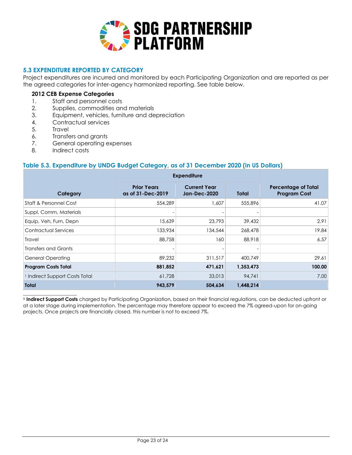

# **5.3 EXPENDITURE REPORTED BY CATEGORY**

Project expenditures are incurred and monitored by each Participating Organization and are reported as per the agreed categories for inter-agency harmonized reporting. See table below.

#### **2012 CEB Expense Categories**

- 1. Staff and personnel costs
- 2. Supplies, commodities and materials
- 3. Equipment, vehicles, furniture and depreciation
- 4. Contractual services
- 5. Travel
- 6. Transfers and grants
- 7. General operating expenses
- 8. Indirect costs

# **Table 5.3. Expenditure by UNDG Budget Category, as of 31 December 2020 (in US Dollars)**

| Category                                  | <b>Prior Years</b><br>as of 31-Dec-2019 | <b>Current Year</b><br><b>Jan-Dec-2020</b> | Total     | <b>Percentage of Total</b><br><b>Program Cost</b> |
|-------------------------------------------|-----------------------------------------|--------------------------------------------|-----------|---------------------------------------------------|
| Staff & Personnel Cost                    | 554,289                                 | 1,607                                      | 555,896   | 41.07                                             |
| Suppl, Comm, Materials                    |                                         |                                            |           |                                                   |
| Equip, Veh, Furn, Depn                    | 15,639                                  | 23,793                                     | 39,432    | 2.91                                              |
| <b>Contractual Services</b>               | 133,934                                 | 134,544                                    | 268,478   | 19.84                                             |
| <b>Travel</b>                             | 88,758                                  | 160                                        | 88,918    | 6.57                                              |
| Transfers and Grants                      |                                         |                                            |           |                                                   |
| <b>General Operating</b>                  | 89,232                                  | 311,517                                    | 400,749   | 29.61                                             |
| <b>Program Costs Total</b>                | 881,852                                 | 471,621                                    | 1,353,473 | 100.00                                            |
| <sup>1</sup> Indirect Support Costs Total | 61,728                                  | 33,013                                     | 94,741    | 7.00                                              |
| Total                                     | 943,579                                 | 504,634                                    | 1,448,214 |                                                   |

**<sup>1</sup> Indirect Support Costs** charged by Participating Organization, based on their financial regulations, can be deducted upfront or at a later stage during implementation. The percentage may therefore appear to exceed the 7% agreed-upon for on-going projects. Once projects are financially closed, this number is not to exceed 7%.